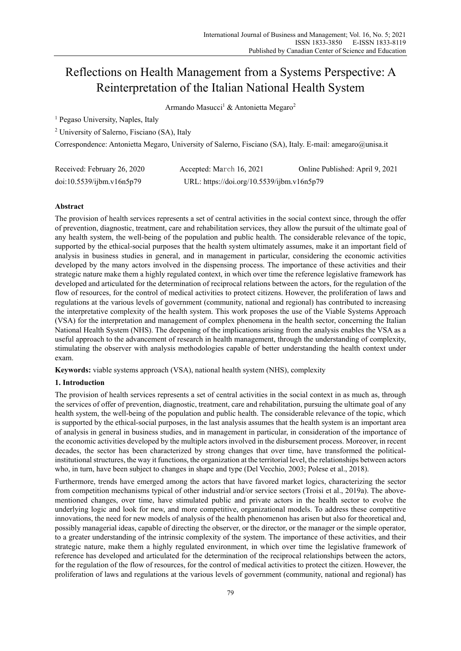# Reflections on Health Management from a Systems Perspective: A Reinterpretation of the Italian National Health System

Armando Masucci<sup>1</sup> & Antonietta Megaro<sup>2</sup>

<sup>1</sup> Pegaso University, Naples, Italy

2 University of Salerno, Fisciano (SA), Italy

Correspondence: Antonietta Megaro, University of Salerno, Fisciano (SA), Italy. E-mail: amegaro@unisa.it

| Received: February 26, 2020 | Accepted: March 16, 2021                   | Online Published: April 9, 2021 |
|-----------------------------|--------------------------------------------|---------------------------------|
| doi:10.5539/jbm.v16n5p79    | URL: https://doi.org/10.5539/ijbm.v16n5p79 |                                 |

# **Abstract**

The provision of health services represents a set of central activities in the social context since, through the offer of prevention, diagnostic, treatment, care and rehabilitation services, they allow the pursuit of the ultimate goal of any health system, the well-being of the population and public health. The considerable relevance of the topic, supported by the ethical-social purposes that the health system ultimately assumes, make it an important field of analysis in business studies in general, and in management in particular, considering the economic activities developed by the many actors involved in the dispensing process. The importance of these activities and their strategic nature make them a highly regulated context, in which over time the reference legislative framework has developed and articulated for the determination of reciprocal relations between the actors, for the regulation of the flow of resources, for the control of medical activities to protect citizens. However, the proliferation of laws and regulations at the various levels of government (community, national and regional) has contributed to increasing the interpretative complexity of the health system. This work proposes the use of the Viable Systems Approach (VSA) for the interpretation and management of complex phenomena in the health sector, concerning the Italian National Health System (NHS). The deepening of the implications arising from the analysis enables the VSA as a useful approach to the advancement of research in health management, through the understanding of complexity, stimulating the observer with analysis methodologies capable of better understanding the health context under exam.

**Keywords:** viable systems approach (VSA), national health system (NHS), complexity

# **1. Introduction**

The provision of health services represents a set of central activities in the social context in as much as, through the services of offer of prevention, diagnostic, treatment, care and rehabilitation, pursuing the ultimate goal of any health system, the well-being of the population and public health. The considerable relevance of the topic, which is supported by the ethical-social purposes, in the last analysis assumes that the health system is an important area of analysis in general in business studies, and in management in particular, in consideration of the importance of the economic activities developed by the multiple actors involved in the disbursement process. Moreover, in recent decades, the sector has been characterized by strong changes that over time, have transformed the politicalinstitutional structures, the way it functions, the organization at the territorial level, the relationships between actors who, in turn, have been subject to changes in shape and type (Del Vecchio, 2003; Polese et al., 2018).

Furthermore, trends have emerged among the actors that have favored market logics, characterizing the sector from competition mechanisms typical of other industrial and/or service sectors (Troisi et al., 2019a). The abovementioned changes, over time, have stimulated public and private actors in the health sector to evolve the underlying logic and look for new, and more competitive, organizational models. To address these competitive innovations, the need for new models of analysis of the health phenomenon has arisen but also for theoretical and, possibly managerial ideas, capable of directing the observer, or the director, or the manager or the simple operator, to a greater understanding of the intrinsic complexity of the system. The importance of these activities, and their strategic nature, make them a highly regulated environment, in which over time the legislative framework of reference has developed and articulated for the determination of the reciprocal relationships between the actors, for the regulation of the flow of resources, for the control of medical activities to protect the citizen. However, the proliferation of laws and regulations at the various levels of government (community, national and regional) has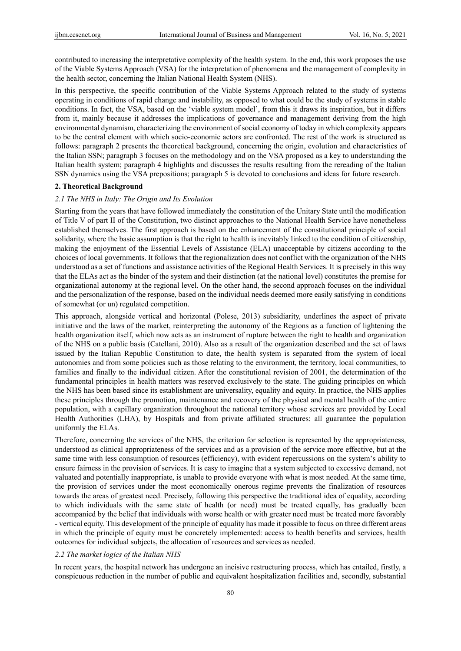contributed to increasing the interpretative complexity of the health system. In the end, this work proposes the use of the Viable Systems Approach (VSA) for the interpretation of phenomena and the management of complexity in the health sector, concerning the Italian National Health System (NHS).

In this perspective, the specific contribution of the Viable Systems Approach related to the study of systems operating in conditions of rapid change and instability, as opposed to what could be the study of systems in stable conditions. In fact, the VSA, based on the 'viable system model', from this it draws its inspiration, but it differs from it, mainly because it addresses the implications of governance and management deriving from the high environmental dynamism, characterizing the environment of social economy of today in which complexity appears to be the central element with which socio-economic actors are confronted. The rest of the work is structured as follows: paragraph 2 presents the theoretical background, concerning the origin, evolution and characteristics of the Italian SSN; paragraph 3 focuses on the methodology and on the VSA proposed as a key to understanding the Italian health system; paragraph 4 highlights and discusses the results resulting from the rereading of the Italian SSN dynamics using the VSA prepositions; paragraph 5 is devoted to conclusions and ideas for future research.

# **2. Theoretical Background**

### *2.1 The NHS in Italy: The Origin and Its Evolution*

Starting from the years that have followed immediately the constitution of the Unitary State until the modification of Title V of part II of the Constitution, two distinct approaches to the National Health Service have nonetheless established themselves. The first approach is based on the enhancement of the constitutional principle of social solidarity, where the basic assumption is that the right to health is inevitably linked to the condition of citizenship, making the enjoyment of the Essential Levels of Assistance (ELA) unacceptable by citizens according to the choices of local governments. It follows that the regionalization does not conflict with the organization of the NHS understood as a set of functions and assistance activities of the Regional Health Services. It is precisely in this way that the ELAs act as the binder of the system and their distinction (at the national level) constitutes the premise for organizational autonomy at the regional level. On the other hand, the second approach focuses on the individual and the personalization of the response, based on the individual needs deemed more easily satisfying in conditions of somewhat (or un) regulated competition.

This approach, alongside vertical and horizontal (Polese, 2013) subsidiarity, underlines the aspect of private initiative and the laws of the market, reinterpreting the autonomy of the Regions as a function of lightening the health organization itself, which now acts as an instrument of rupture between the right to health and organization of the NHS on a public basis (Catellani, 2010). Also as a result of the organization described and the set of laws issued by the Italian Republic Constitution to date, the health system is separated from the system of local autonomies and from some policies such as those relating to the environment, the territory, local communities, to families and finally to the individual citizen. After the constitutional revision of 2001, the determination of the fundamental principles in health matters was reserved exclusively to the state. The guiding principles on which the NHS has been based since its establishment are universality, equality and equity. In practice, the NHS applies these principles through the promotion, maintenance and recovery of the physical and mental health of the entire population, with a capillary organization throughout the national territory whose services are provided by Local Health Authorities (LHA), by Hospitals and from private affiliated structures: all guarantee the population uniformly the ELAs.

Therefore, concerning the services of the NHS, the criterion for selection is represented by the appropriateness, understood as clinical appropriateness of the services and as a provision of the service more effective, but at the same time with less consumption of resources (efficiency), with evident repercussions on the system's ability to ensure fairness in the provision of services. It is easy to imagine that a system subjected to excessive demand, not valuated and potentially inappropriate, is unable to provide everyone with what is most needed. At the same time, the provision of services under the most economically onerous regime prevents the finalization of resources towards the areas of greatest need. Precisely, following this perspective the traditional idea of equality, according to which individuals with the same state of health (or need) must be treated equally, has gradually been accompanied by the belief that individuals with worse health or with greater need must be treated more favorably - vertical equity. This development of the principle of equality has made it possible to focus on three different areas in which the principle of equity must be concretely implemented: access to health benefits and services, health outcomes for individual subjects, the allocation of resources and services as needed.

#### *2.2 The market logics of the Italian NHS*

In recent years, the hospital network has undergone an incisive restructuring process, which has entailed, firstly, a conspicuous reduction in the number of public and equivalent hospitalization facilities and, secondly, substantial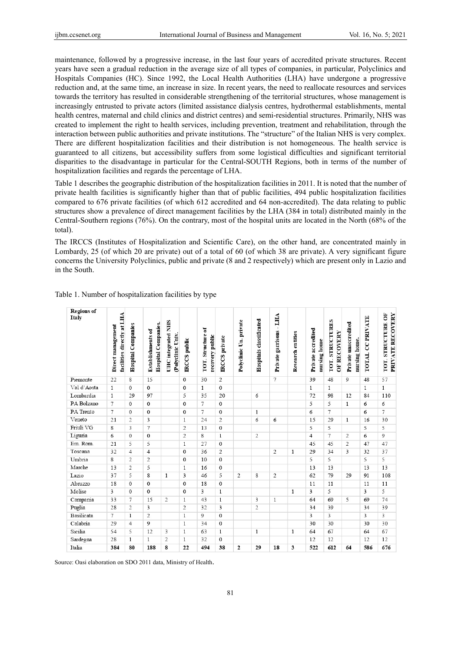maintenance, followed by a progressive increase, in the last four years of accredited private structures. Recent years have seen a gradual reduction in the average size of all types of companies, in particular, Polyclinics and Hospitals Companies (HC). Since 1992, the Local Health Authorities (LHA) have undergone a progressive reduction and, at the same time, an increase in size. In recent years, the need to reallocate resources and services towards the territory has resulted in considerable strengthening of the territorial structures, whose management is increasingly entrusted to private actors (limited assistance dialysis centres, hydrothermal establishments, mental health centres, maternal and child clinics and district centres) and semi-residential structures. Primarily, NHS was created to implement the right to health services, including prevention, treatment and rehabilitation, through the interaction between public authorities and private institutions. The "structure" of the Italian NHS is very complex. There are different hospitalization facilities and their distribution is not homogeneous. The health service is guaranteed to all citizens, but accessibility suffers from some logistical difficulties and significant territorial disparities to the disadvantage in particular for the Central-SOUTH Regions, both in terms of the number of hospitalization facilities and regards the percentage of LHA.

Table 1 describes the geographic distribution of the hospitalization facilities in 2011. It is noted that the number of private health facilities is significantly higher than that of public facilities, 494 public hospitalization facilities compared to 676 private facilities (of which 612 accredited and 64 non-accredited). The data relating to public structures show a prevalence of direct management facilities by the LHA (384 in total) distributed mainly in the Central-Southern regions (76%). On the contrary, most of the hospital units are located in the North (68% of the total).

The IRCCS (Institutes of Hospitalization and Scientific Care), on the other hand, are concentrated mainly in Lombardy, 25 (of which 20 are private) out of a total of 60 (of which 38 are private). A very significant figure concerns the University Polyclinics, public and private (8 and 2 respectively) which are present only in Lazio and in the South.

| <b>Regions</b> of<br>Italy | facilities directly at LHA<br>Direct management | <b>Hospital Companies</b> | <b>Hospital Companies.</b><br>Establishments of | <b>UHC</b> integrated NHS<br>(Polyclinic Univ. | <b>IRCCS</b> public | TOT. Structure of<br>recovery public | <b>IRCCS</b> private | Polyclinic Un. private | Hospitals classificated | LHA<br>Private garrisons - | Research entities | Private accredited<br>nursing home | TOT. STRUCTURES<br>OF RECOVERY | Private unaccredited<br>nursing home. | <b>CCPRIVATE</b><br><b>TOTAL</b> | PRIVATE RECOVERY<br>TOT. STRUCTURE OF |
|----------------------------|-------------------------------------------------|---------------------------|-------------------------------------------------|------------------------------------------------|---------------------|--------------------------------------|----------------------|------------------------|-------------------------|----------------------------|-------------------|------------------------------------|--------------------------------|---------------------------------------|----------------------------------|---------------------------------------|
| Piemonte                   | 22                                              | 8                         | 15                                              |                                                | $\mathbf{0}$        | 30                                   | 2                    |                        |                         | 7                          |                   | 39                                 | 48                             | 9                                     | 48                               | 57                                    |
| Val d'Aosta                | $\mathbf{1}$                                    | $\mathbf{0}$              | $\mathbf{0}$                                    |                                                | $\mathbf{0}$        | $\mathbf{1}$                         | $\mathbf{0}$         |                        |                         |                            |                   | $\mathbf{1}$                       | $\mathbf{1}$                   |                                       | $\mathbf{1}$                     | $\,1$                                 |
| Lombardia                  | 1                                               | 29                        | 97                                              |                                                | 5                   | 35                                   | 20                   |                        | 6                       |                            |                   | 72                                 | 98                             | 12                                    | 84                               | 110                                   |
| PA Bolzano                 | 7                                               | $\mathbf{0}$              | $\mathbf{0}$                                    |                                                | $\mathbf{0}$        | $\tau$                               | $\mathbf{0}$         |                        |                         |                            |                   | 5                                  | 5                              | $\mathbf{1}$                          | 6                                | 6                                     |
| PA Trento                  | $7\phantom{.0}$                                 | $\mathbf{0}$              | $\mathbf{0}$                                    |                                                | $\mathbf 0$         | 7                                    | $\mathbf{0}$         |                        | $\mathbf{1}$            |                            |                   | 6                                  | 7                              |                                       | 6                                | $\tau$                                |
| Veneto                     | 21                                              | 2                         | 3                                               |                                                | $\mathbf{1}$        | 24                                   | 2                    |                        | 6                       | 6                          |                   | 15                                 | 29                             | $\mathbf{1}$                          | 16                               | 30                                    |
| Friuli VG                  | 8                                               | 3                         | 7                                               |                                                | $\overline{c}$      | 13                                   | $\mathbf{0}$         |                        |                         |                            |                   | 5                                  | 5                              |                                       | 5                                | 5                                     |
| Liguria                    | 6                                               | $\mathbf{0}$              | $\mathbf{0}$                                    |                                                | 2                   | 8                                    | $\mathbf{1}$         |                        | 2                       |                            |                   | $\overline{4}$                     | 7                              | $\overline{2}$                        | 6                                | 9                                     |
| Em. Rom.                   | 21                                              | 5                         | 5                                               |                                                | $\mathbf{1}$        | 27                                   | $\mathbf{0}$         |                        |                         |                            |                   | 45                                 | 45                             | $\overline{c}$                        | 47                               | 47                                    |
| Toscana                    | 32                                              | $\overline{4}$            | $\overline{4}$                                  |                                                | $\mathbf{0}$        | 36                                   | 2                    |                        |                         | 2                          | 1                 | 29                                 | 34                             | 3                                     | 32                               | 37                                    |
| Umbria                     | 8                                               | 2                         | $\overline{c}$                                  |                                                | $\mathbf{0}$        | 10                                   | $\mathbf{0}$         |                        |                         |                            |                   | 5                                  | 5                              |                                       | 5                                | 5                                     |
| Marche                     | 13                                              | 2                         | 5                                               |                                                | $\mathbf{1}$        | 16                                   | $\mathbf{0}$         |                        |                         |                            |                   | 13                                 | 13                             |                                       | 13                               | 13                                    |
| Lazio                      | 37                                              | 5                         | 8                                               | $\mathbf{1}$                                   | 3                   | 46                                   | 5                    | 2                      | 8                       | 2                          |                   | 62                                 | 79                             | 29                                    | 91                               | 108                                   |
| Abruzzo                    | 18                                              | $\mathbf{0}$              | $\mathbf{0}$                                    |                                                | $\mathbf{0}$        | 18                                   | $\mathbf{0}$         |                        |                         |                            |                   | 11                                 | 11                             |                                       | 11                               | 11                                    |
| Molise                     | 3                                               | $\mathbf{0}$              | $\mathbf{0}$                                    |                                                | $\mathbf{0}$        | 3                                    | $\mathbf{1}$         |                        |                         |                            | $\mathbf{1}$      | 3                                  | 5                              |                                       | 3                                | 5                                     |
| Campania                   | 33                                              | 7                         | 15                                              | 2                                              | $\mathbf{1}$        | 43                                   | $\mathbf{1}$         |                        | 3                       | $\mathbf{1}$               |                   | 64                                 | 69                             | 5                                     | 69                               | 74                                    |
| Puglia                     | 28                                              | 2                         | 3                                               |                                                | 2                   | 32                                   | 3                    |                        | 2                       |                            |                   | 34                                 | 39                             |                                       | 34                               | 39                                    |
| <b>Basilicata</b>          | 7                                               | $\mathbf{1}$              | $\overline{c}$                                  |                                                | $\mathbf{1}$        | 9                                    | $\mathbf{0}$         |                        |                         |                            |                   | 3                                  | 3                              |                                       | 3                                | $\overline{\mathbf{3}}$               |
| Calabria                   | 29                                              | $\overline{4}$            | 9                                               |                                                | $\mathbf{1}$        | 34                                   | $\mathbf{0}$         |                        |                         |                            |                   | 30                                 | 30                             |                                       | 30                               | 30                                    |
| Sicilia                    | 54                                              | 5                         | 12                                              | 3                                              | $\mathbf{1}$        | 63                                   | $\mathbf{1}$         |                        | $\mathbf{1}$            |                            | $\mathbf{1}$      | 64                                 | 67                             |                                       | 64                               | 67                                    |
| Sardegna                   | 28                                              | $\mathbf{1}$              | $\mathbf{1}$                                    | 2                                              | $\mathbf{1}$        | 32                                   | $\mathbf{0}$         |                        |                         |                            |                   | 12                                 | 12                             |                                       | 12                               | 12                                    |
| Italia                     | 384                                             | 80                        | 188                                             | 8                                              | 22                  | 494                                  | 38                   | 2                      | 29                      | 18                         | 3                 | 522                                | 612                            | 64                                    | 586                              | 676                                   |

Table 1. Number of hospitalization facilities by type

Source: Oasi elaboration on SDO 2011 data, Ministry of Health.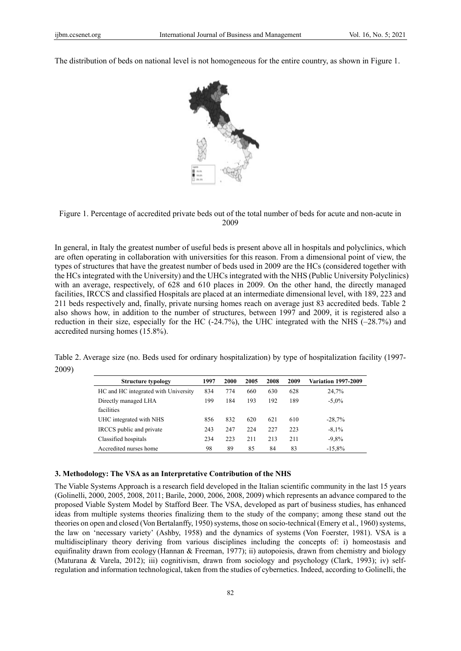The distribution of beds on national level is not homogeneous for the entire country, as shown in Figure 1.





In general, in Italy the greatest number of useful beds is present above all in hospitals and polyclinics, which are often operating in collaboration with universities for this reason. From a dimensional point of view, the types of structures that have the greatest number of beds used in 2009 are the HCs (considered together with the HCs integrated with the University) and the UHCs integrated with the NHS (Public University Polyclinics) with an average, respectively, of 628 and 610 places in 2009. On the other hand, the directly managed facilities, IRCCS and classified Hospitals are placed at an intermediate dimensional level, with 189, 223 and 211 beds respectively and, finally, private nursing homes reach on average just 83 accredited beds. Table 2 also shows how, in addition to the number of structures, between 1997 and 2009, it is registered also a reduction in their size, especially for the HC (-24.7%), the UHC integrated with the NHS (–28.7%) and accredited nursing homes (15.8%).

Table 2. Average size (no. Beds used for ordinary hospitalization) by type of hospitalization facility (1997- 2009)

| <b>Structure typology</b>            | 1997 | 2000 | 2005 | 2008 | 2009 | <b>Variation 1997-2009</b> |
|--------------------------------------|------|------|------|------|------|----------------------------|
| HC and HC integrated with University | 834  | 774  | 660  | 630  | 628  | 24,7%                      |
| Directly managed LHA                 | 199  | 184  | 193  | 192  | 189  | $-5,0\%$                   |
| facilities                           |      |      |      |      |      |                            |
| UHC integrated with NHS              | 856  | 832  | 620  | 621  | 610  | $-28,7%$                   |
| IRCCS public and private             | 243  | 247  | 224  | 227  | 223  | $-8.1\%$                   |
| Classified hospitals                 | 234  | 223  | 211  | 213  | 211  | $-9,8%$                    |
| Accredited nurses home               | 98   | 89   | 85   | 84   | 83   | $-15.8%$                   |

## **3. Methodology: The VSA as an Interpretative Contribution of the NHS**

The Viable Systems Approach is a research field developed in the Italian scientific community in the last 15 years (Golinelli, 2000, 2005, 2008, 2011; Barile, 2000, 2006, 2008, 2009) which represents an advance compared to the proposed Viable System Model by Stafford Beer. The VSA, developed as part of business studies, has enhanced ideas from multiple systems theories finalizing them to the study of the company; among these stand out the theories on open and closed (Von Bertalanffy, 1950) systems, those on socio-technical (Emery et al., 1960) systems, the law on 'necessary variety' (Ashby, 1958) and the dynamics of systems (Von Foerster, 1981). VSA is a multidisciplinary theory deriving from various disciplines including the concepts of: i) homeostasis and equifinality drawn from ecology (Hannan & Freeman, 1977); ii) autopoiesis, drawn from chemistry and biology (Maturana & Varela, 2012); iii) cognitivism, drawn from sociology and psychology (Clark, 1993); iv) selfregulation and information technological, taken from the studies of cybernetics. Indeed, according to Golinelli, the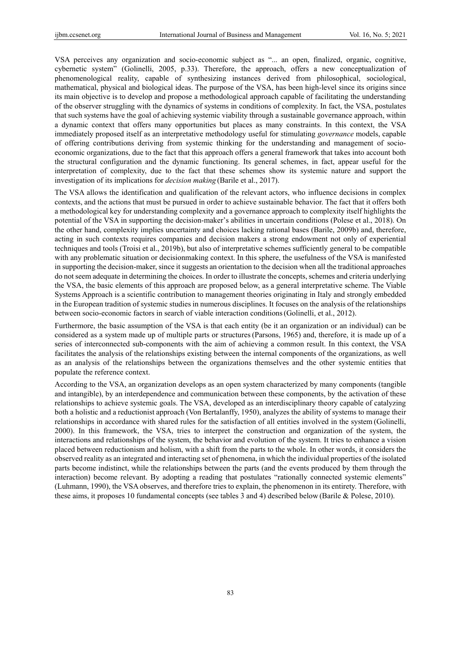VSA perceives any organization and socio-economic subject as "... an open, finalized, organic, cognitive, cybernetic system" (Golinelli, 2005, p.33). Therefore, the approach, offers a new conceptualization of phenomenological reality, capable of synthesizing instances derived from philosophical, sociological, mathematical, physical and biological ideas. The purpose of the VSA, has been high-level since its origins since its main objective is to develop and propose a methodological approach capable of facilitating the understanding of the observer struggling with the dynamics of systems in conditions of complexity. In fact, the VSA, postulates that such systems have the goal of achieving systemic viability through a sustainable governance approach, within a dynamic context that offers many opportunities but places as many constraints. In this context, the VSA immediately proposed itself as an interpretative methodology useful for stimulating *governance* models, capable of offering contributions deriving from systemic thinking for the understanding and management of socioeconomic organizations, due to the fact that this approach offers a general framework that takes into account both the structural configuration and the dynamic functioning. Its general schemes, in fact, appear useful for the interpretation of complexity, due to the fact that these schemes show its systemic nature and support the investigation of its implications for *decision making* (Barile et al., 2017).

The VSA allows the identification and qualification of the relevant actors, who influence decisions in complex contexts, and the actions that must be pursued in order to achieve sustainable behavior. The fact that it offers both a methodological key for understanding complexity and a governance approach to complexity itself highlights the potential of the VSA in supporting the decision-maker's abilities in uncertain conditions (Polese et al., 2018). On the other hand, complexity implies uncertainty and choices lacking rational bases (Barile, 2009b) and, therefore, acting in such contexts requires companies and decision makers a strong endowment not only of experiential techniques and tools (Troisi et al., 2019b), but also of interpretative schemes sufficiently general to be compatible with any problematic situation or decisionmaking context. In this sphere, the usefulness of the VSA is manifested in supporting the decision-maker, since it suggests an orientation to the decision when all the traditional approaches do not seem adequate in determining the choices. In order to illustrate the concepts, schemes and criteria underlying the VSA, the basic elements of this approach are proposed below, as a general interpretative scheme. The Viable Systems Approach is a scientific contribution to management theories originating in Italy and strongly embedded in the European tradition of systemic studies in numerous disciplines. It focuses on the analysis of the relationships between socio-economic factors in search of viable interaction conditions(Golinelli, et al., 2012).

Furthermore, the basic assumption of the VSA is that each entity (be it an organization or an individual) can be considered as a system made up of multiple parts or structures(Parsons, 1965) and, therefore, it is made up of a series of interconnected sub-components with the aim of achieving a common result. In this context, the VSA facilitates the analysis of the relationships existing between the internal components of the organizations, as well as an analysis of the relationships between the organizations themselves and the other systemic entities that populate the reference context.

According to the VSA, an organization develops as an open system characterized by many components (tangible and intangible), by an interdependence and communication between these components, by the activation of these relationships to achieve systemic goals. The VSA, developed as an interdisciplinary theory capable of catalyzing both a holistic and a reductionist approach (Von Bertalanffy, 1950), analyzes the ability of systems to manage their relationships in accordance with shared rules for the satisfaction of all entities involved in the system (Golinelli, 2000). In this framework, the VSA, tries to interpret the construction and organization of the system, the interactions and relationships of the system, the behavior and evolution of the system. It tries to enhance a vision placed between reductionism and holism, with a shift from the parts to the whole. In other words, it considers the observed reality as an integrated and interacting set of phenomena, in which the individual properties of the isolated parts become indistinct, while the relationships between the parts (and the events produced by them through the interaction) become relevant. By adopting a reading that postulates "rationally connected systemic elements" (Luhmann, 1990), the VSA observes, and therefore tries to explain, the phenomenon in its entirety. Therefore, with these aims, it proposes 10 fundamental concepts (see tables 3 and 4) described below (Barile & Polese, 2010).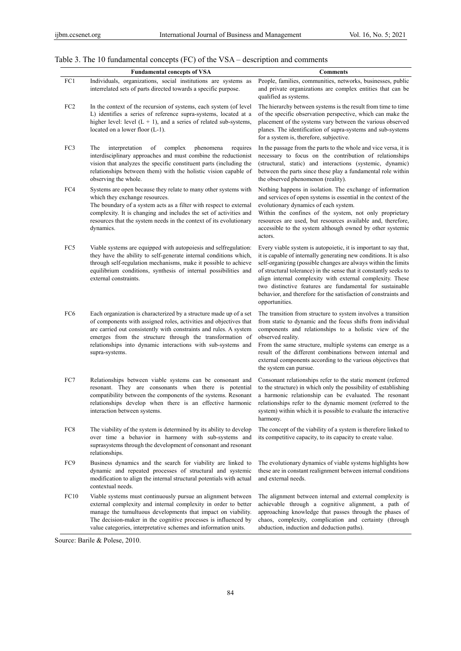# Table 3. The 10 fundamental concepts (FC) of the VSA – description and comments

|                 | <b>Fundamental concepts of VSA</b>                                                                                                                                                                                                                                                                                                                         | <b>Comments</b>                                                                                                                                                                                                                                                                                                                                                                                                                                                                            |
|-----------------|------------------------------------------------------------------------------------------------------------------------------------------------------------------------------------------------------------------------------------------------------------------------------------------------------------------------------------------------------------|--------------------------------------------------------------------------------------------------------------------------------------------------------------------------------------------------------------------------------------------------------------------------------------------------------------------------------------------------------------------------------------------------------------------------------------------------------------------------------------------|
| FC1             | Individuals, organizations, social institutions are systems as<br>interrelated sets of parts directed towards a specific purpose.                                                                                                                                                                                                                          | People, families, communities, networks, businesses, public<br>and private organizations are complex entities that can be<br>qualified as systems.                                                                                                                                                                                                                                                                                                                                         |
| FC <sub>2</sub> | In the context of the recursion of systems, each system (of level<br>L) identifies a series of reference supra-systems, located at a<br>higher level: level $(L + 1)$ , and a series of related sub-systems,<br>located on a lower floor (L-1).                                                                                                            | The hierarchy between systems is the result from time to time<br>of the specific observation perspective, which can make the<br>placement of the systems vary between the various observed<br>planes. The identification of supra-systems and sub-systems<br>for a system is, therefore, subjective.                                                                                                                                                                                       |
| FC3             | The<br>interpretation<br>complex<br>phenomena<br>of<br>requires<br>interdisciplinary approaches and must combine the reductionist<br>vision that analyzes the specific constituent parts (including the<br>relationships between them) with the holistic vision capable of<br>observing the whole.                                                         | In the passage from the parts to the whole and vice versa, it is<br>necessary to focus on the contribution of relationships<br>(structural, static) and interactions (systemic, dynamic)<br>between the parts since these play a fundamental role within<br>the observed phenomenon (reality).                                                                                                                                                                                             |
| FC4             | Systems are open because they relate to many other systems with<br>which they exchange resources.<br>The boundary of a system acts as a filter with respect to external<br>complexity. It is changing and includes the set of activities and<br>resources that the system needs in the context of its evolutionary<br>dynamics.                            | Nothing happens in isolation. The exchange of information<br>and services of open systems is essential in the context of the<br>evolutionary dynamics of each system.<br>Within the confines of the system, not only proprietary<br>resources are used, but resources available and, therefore,<br>accessible to the system although owned by other systemic<br>actors.                                                                                                                    |
| FC5             | Viable systems are equipped with autopoiesis and selfregulation:<br>they have the ability to self-generate internal conditions which,<br>through self-regulation mechanisms, make it possible to achieve<br>equilibrium conditions, synthesis of internal possibilities and<br>external constraints.                                                       | Every viable system is autopoietic, it is important to say that,<br>it is capable of internally generating new conditions. It is also<br>self-organizing (possible changes are always within the limits<br>of structural tolerance) in the sense that it constantly seeks to<br>align internal complexity with external complexity. These<br>two distinctive features are fundamental for sustainable<br>behavior, and therefore for the satisfaction of constraints and<br>opportunities. |
| FC <sub>6</sub> | Each organization is characterized by a structure made up of a set<br>of components with assigned roles, activities and objectives that<br>are carried out consistently with constraints and rules. A system<br>emerges from the structure through the transformation of<br>relationships into dynamic interactions with sub-systems and<br>supra-systems. | The transition from structure to system involves a transition<br>from static to dynamic and the focus shifts from individual<br>components and relationships to a holistic view of the<br>observed reality.<br>From the same structure, multiple systems can emerge as a<br>result of the different combinations between internal and<br>external components according to the various objectives that<br>the system can pursue.                                                            |
| FC7             | Relationships between viable systems can be consonant and<br>resonant. They are consonants when there is potential<br>compatibility between the components of the systems. Resonant<br>relationships develop when there is an effective harmonic<br>interaction between systems.                                                                           | Consonant relationships refer to the static moment (referred<br>to the structure) in which only the possibility of establishing<br>a harmonic relationship can be evaluated. The resonant<br>relationships refer to the dynamic moment (referred to the<br>system) within which it is possible to evaluate the interactive<br>harmony.                                                                                                                                                     |
| FC8             | The viability of the system is determined by its ability to develop<br>over time a behavior in harmony with sub-systems and<br>suprasystems through the development of consonant and resonant<br>relationships.                                                                                                                                            | The concept of the viability of a system is therefore linked to<br>its competitive capacity, to its capacity to create value.                                                                                                                                                                                                                                                                                                                                                              |
| FC <sub>9</sub> | Business dynamics and the search for viability are linked to<br>dynamic and repeated processes of structural and systemic<br>modification to align the internal structural potentials with actual<br>contextual needs.                                                                                                                                     | The evolutionary dynamics of viable systems highlights how<br>these are in constant realignment between internal conditions<br>and external needs.                                                                                                                                                                                                                                                                                                                                         |
| FC10            | Viable systems must continuously pursue an alignment between<br>external complexity and internal complexity in order to better<br>manage the tumultuous developments that impact on viability.<br>The decision-maker in the cognitive processes is influenced by<br>value categories, interpretative schemes and information units.                        | The alignment between internal and external complexity is<br>achievable through a cognitive alignment, a path of<br>approaching knowledge that passes through the phases of<br>chaos, complexity, complication and certainty (through<br>abduction, induction and deduction paths).                                                                                                                                                                                                        |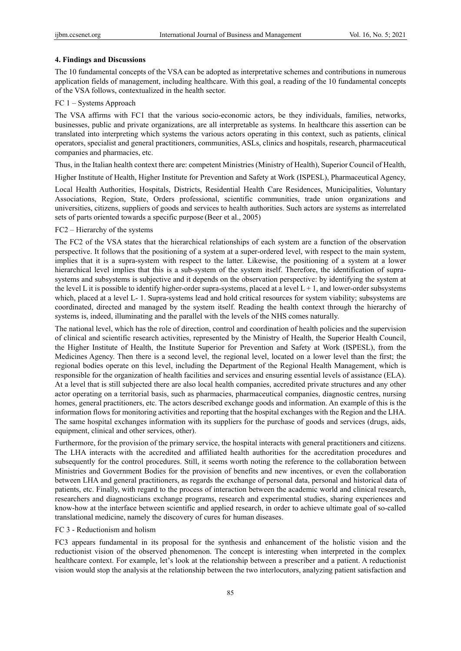# **4. Findings and Discussions**

The 10 fundamental concepts of the VSA can be adopted as interpretative schemes and contributions in numerous application fields of management, including healthcare. With this goal, a reading of the 10 fundamental concepts of the VSA follows, contextualized in the health sector.

#### FC 1 – Systems Approach

The VSA affirms with FC1 that the various socio-economic actors, be they individuals, families, networks, businesses, public and private organizations, are all interpretable as systems. In healthcare this assertion can be translated into interpreting which systems the various actors operating in this context, such as patients, clinical operators, specialist and general practitioners, communities, ASLs, clinics and hospitals, research, pharmaceutical companies and pharmacies, etc.

Thus, in the Italian health context there are: competent Ministries (Ministry of Health), Superior Council of Health,

Higher Institute of Health, Higher Institute for Prevention and Safety at Work (ISPESL), Pharmaceutical Agency,

Local Health Authorities, Hospitals, Districts, Residential Health Care Residences, Municipalities, Voluntary Associations, Region, State, Orders professional, scientific communities, trade union organizations and universities, citizens, suppliers of goods and services to health authorities. Such actors are systems as interrelated sets of parts oriented towards a specific purpose (Beer et al., 2005)

# FC2 – Hierarchy of the systems

The FC2 of the VSA states that the hierarchical relationships of each system are a function of the observation perspective. It follows that the positioning of a system at a super-ordered level, with respect to the main system, implies that it is a supra-system with respect to the latter. Likewise, the positioning of a system at a lower hierarchical level implies that this is a sub-system of the system itself. Therefore, the identification of suprasystems and subsystems is subjective and it depends on the observation perspective: by identifying the system at the level L it is possible to identify higher-order supra-systems, placed at a level  $L + 1$ , and lower-order subsystems which, placed at a level L- 1. Supra-systems lead and hold critical resources for system viability; subsystems are coordinated, directed and managed by the system itself. Reading the health context through the hierarchy of systems is, indeed, illuminating and the parallel with the levels of the NHS comes naturally.

The national level, which has the role of direction, control and coordination of health policies and the supervision of clinical and scientific research activities, represented by the Ministry of Health, the Superior Health Council, the Higher Institute of Health, the Institute Superior for Prevention and Safety at Work (ISPESL), from the Medicines Agency. Then there is a second level, the regional level, located on a lower level than the first; the regional bodies operate on this level, including the Department of the Regional Health Management, which is responsible for the organization of health facilities and services and ensuring essential levels of assistance (ELA). At a level that is still subjected there are also local health companies, accredited private structures and any other actor operating on a territorial basis, such as pharmacies, pharmaceutical companies, diagnostic centres, nursing homes, general practitioners, etc. The actors described exchange goods and information. An example of this is the information flows for monitoring activities and reporting that the hospital exchanges with the Region and the LHA. The same hospital exchanges information with its suppliers for the purchase of goods and services (drugs, aids, equipment, clinical and other services, other).

Furthermore, for the provision of the primary service, the hospital interacts with general practitioners and citizens. The LHA interacts with the accredited and affiliated health authorities for the accreditation procedures and subsequently for the control procedures. Still, it seems worth noting the reference to the collaboration between Ministries and Government Bodies for the provision of benefits and new incentives, or even the collaboration between LHA and general practitioners, as regards the exchange of personal data, personal and historical data of patients, etc. Finally, with regard to the process of interaction between the academic world and clinical research, researchers and diagnosticians exchange programs, research and experimental studies, sharing experiences and know-how at the interface between scientific and applied research, in order to achieve ultimate goal of so-called translational medicine, namely the discovery of cures for human diseases.

## FC 3 - Reductionism and holism

FC3 appears fundamental in its proposal for the synthesis and enhancement of the holistic vision and the reductionist vision of the observed phenomenon. The concept is interesting when interpreted in the complex healthcare context. For example, let's look at the relationship between a prescriber and a patient. A reductionist vision would stop the analysis at the relationship between the two interlocutors, analyzing patient satisfaction and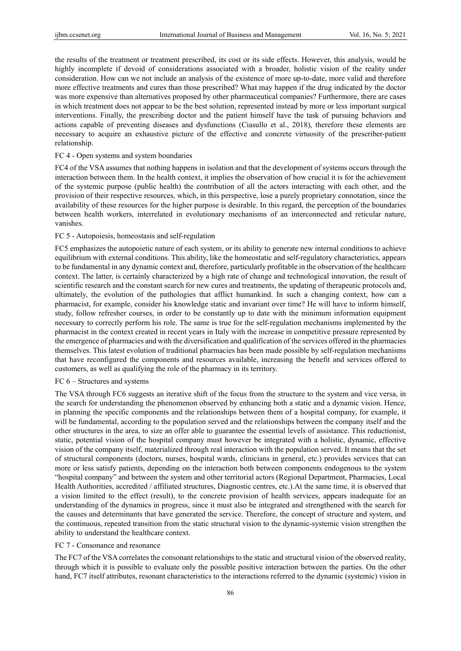the results of the treatment or treatment prescribed, its cost or its side effects. However, this analysis, would be highly incomplete if devoid of considerations associated with a broader, holistic vision of the reality under consideration. How can we not include an analysis of the existence of more up-to-date, more valid and therefore more effective treatments and cures than those prescribed? What may happen if the drug indicated by the doctor was more expensive than alternatives proposed by other pharmaceutical companies? Furthermore, there are cases in which treatment does not appear to be the best solution, represented instead by more or less important surgical interventions. Finally, the prescribing doctor and the patient himself have the task of pursuing behaviors and actions capable of preventing diseases and dysfunctions (Ciasullo et al., 2018), therefore these elements are necessary to acquire an exhaustive picture of the effective and concrete virtuosity of the prescriber-patient relationship.

# FC 4 - Open systems and system boundaries

FC4 of the VSA assumes that nothing happens in isolation and that the development of systems occurs through the interaction between them. In the health context, it implies the observation of how crucial it is for the achievement of the systemic purpose (public health) the contribution of all the actors interacting with each other, and the provision of their respective resources, which, in this perspective, lose a purely proprietary connotation, since the availability of these resources for the higher purpose is desirable. In this regard, the perception of the boundaries between health workers, interrelated in evolutionary mechanisms of an interconnected and reticular nature, vanishes.

#### FC 5 - Autopoiesis, homeostasis and self-regulation

FC5 emphasizes the autopoietic nature of each system, or its ability to generate new internal conditions to achieve equilibrium with external conditions. This ability, like the homeostatic and self-regulatory characteristics, appears to be fundamental in any dynamic context and, therefore, particularly profitable in the observation of the healthcare context. The latter, is certainly characterized by a high rate of change and technological innovation, the result of scientific research and the constant search for new cures and treatments, the updating of therapeutic protocols and, ultimately, the evolution of the pathologies that afflict humankind. In such a changing context, how can a pharmacist, for example, consider his knowledge static and invariant over time? He will have to inform himself, study, follow refresher courses, in order to be constantly up to date with the minimum information equipment necessary to correctly perform his role. The same is true for the self-regulation mechanisms implemented by the pharmacist in the context created in recent years in Italy with the increase in competitive pressure represented by the emergence of pharmacies and with the diversification and qualification of the services offered in the pharmacies themselves. This latest evolution of traditional pharmacies has been made possible by self-regulation mechanisms that have reconfigured the components and resources available, increasing the benefit and services offered to customers, as well as qualifying the role of the pharmacy in its territory.

## FC 6 – Structures and systems

The VSA through FC6 suggests an iterative shift of the focus from the structure to the system and vice versa, in the search for understanding the phenomenon observed by enhancing both a static and a dynamic vision. Hence, in planning the specific components and the relationships between them of a hospital company, for example, it will be fundamental, according to the population served and the relationships between the company itself and the other structures in the area, to size an offer able to guarantee the essential levels of assistance. This reductionist, static, potential vision of the hospital company must however be integrated with a holistic, dynamic, effective vision of the company itself, materialized through real interaction with the population served. It means that the set of structural components (doctors, nurses, hospital wards, clinicians in general, etc.) provides services that can more or less satisfy patients, depending on the interaction both between components endogenous to the system "hospital company" and between the system and other territorial actors (Regional Department, Pharmacies, Local Health Authorities, accredited / affiliated structures, Diagnostic centres, etc.).At the same time, it is observed that a vision limited to the effect (result), to the concrete provision of health services, appears inadequate for an understanding of the dynamics in progress, since it must also be integrated and strengthened with the search for the causes and determinants that have generated the service. Therefore, the concept of structure and system, and the continuous, repeated transition from the static structural vision to the dynamic-systemic vision strengthen the ability to understand the healthcare context.

# FC 7 - Consonance and resonance

The FC7 of the VSA correlates the consonant relationships to the static and structural vision of the observed reality, through which it is possible to evaluate only the possible positive interaction between the parties. On the other hand, FC7 itself attributes, resonant characteristics to the interactions referred to the dynamic (systemic) vision in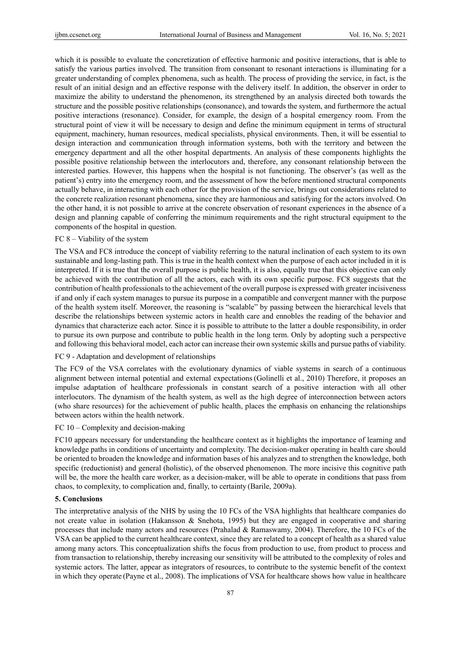which it is possible to evaluate the concretization of effective harmonic and positive interactions, that is able to satisfy the various parties involved. The transition from consonant to resonant interactions is illuminating for a greater understanding of complex phenomena, such as health. The process of providing the service, in fact, is the result of an initial design and an effective response with the delivery itself. In addition, the observer in order to maximize the ability to understand the phenomenon, its strengthened by an analysis directed both towards the structure and the possible positive relationships (consonance), and towards the system, and furthermore the actual positive interactions (resonance). Consider, for example, the design of a hospital emergency room. From the structural point of view it will be necessary to design and define the minimum equipment in terms of structural equipment, machinery, human resources, medical specialists, physical environments. Then, it will be essential to design interaction and communication through information systems, both with the territory and between the emergency department and all the other hospital departments. An analysis of these components highlights the possible positive relationship between the interlocutors and, therefore, any consonant relationship between the interested parties. However, this happens when the hospital is not functioning. The observer's (as well as the patient's) entry into the emergency room, and the assessment of how the before mentioned structural components actually behave, in interacting with each other for the provision of the service, brings out considerations related to the concrete realization resonant phenomena, since they are harmonious and satisfying for the actors involved. On the other hand, it is not possible to arrive at the concrete observation of resonant experiences in the absence of a design and planning capable of conferring the minimum requirements and the right structural equipment to the components of the hospital in question.

# FC 8 – Viability of the system

The VSA and FC8 introduce the concept of viability referring to the natural inclination of each system to its own sustainable and long-lasting path. This is true in the health context when the purpose of each actor included in it is interpreted. If it is true that the overall purpose is public health, it is also, equally true that this objective can only be achieved with the contribution of all the actors, each with its own specific purpose. FC8 suggests that the contribution of health professionals to the achievement of the overall purpose is expressed with greater incisiveness if and only if each system manages to pursue its purpose in a compatible and convergent manner with the purpose of the health system itself. Moreover, the reasoning is "scalable" by passing between the hierarchical levels that describe the relationships between systemic actors in health care and ennobles the reading of the behavior and dynamics that characterize each actor. Since it is possible to attribute to the latter a double responsibility, in order to pursue its own purpose and contribute to public health in the long term. Only by adopting such a perspective and following this behavioral model, each actor can increase their own systemic skills and pursue paths of viability.

# FC 9 - Adaptation and development of relationships

The FC9 of the VSA correlates with the evolutionary dynamics of viable systems in search of a continuous alignment between internal potential and external expectations (Golinelli et al., 2010) Therefore, it proposes an impulse adaptation of healthcare professionals in constant search of a positive interaction with all other interlocutors. The dynamism of the health system, as well as the high degree of interconnection between actors (who share resources) for the achievement of public health, places the emphasis on enhancing the relationships between actors within the health network.

# FC 10 – Complexity and decision-making

FC10 appears necessary for understanding the healthcare context as it highlights the importance of learning and knowledge paths in conditions of uncertainty and complexity. The decision-maker operating in health care should be oriented to broaden the knowledge and information bases of his analyzes and to strengthen the knowledge, both specific (reductionist) and general (holistic), of the observed phenomenon. The more incisive this cognitive path will be, the more the health care worker, as a decision-maker, will be able to operate in conditions that pass from chaos, to complexity, to complication and, finally, to certainty (Barile, 2009a).

### **5. Conclusions**

The interpretative analysis of the NHS by using the 10 FCs of the VSA highlights that healthcare companies do not create value in isolation (Hakansson & Snehota, 1995) but they are engaged in cooperative and sharing processes that include many actors and resources (Prahalad & Ramaswamy, 2004). Therefore, the 10 FCs of the VSA can be applied to the current healthcare context, since they are related to a concept of health as a shared value among many actors. This conceptualization shifts the focus from production to use, from product to process and from transaction to relationship, thereby increasing our sensitivity will be attributed to the complexity of roles and systemic actors. The latter, appear as integrators of resources, to contribute to the systemic benefit of the context in which they operate (Payne et al., 2008). The implications of VSA for healthcare shows how value in healthcare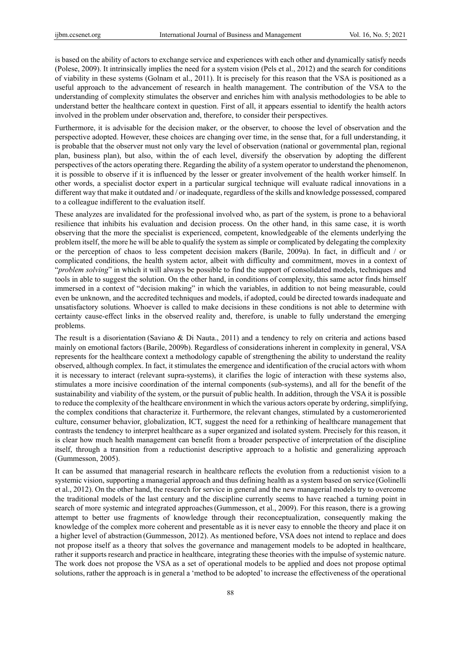is based on the ability of actors to exchange service and experiences with each other and dynamically satisfy needs (Polese, 2009). It intrinsically implies the need for a system vision (Pels et al., 2012) and the search for conditions of viability in these systems (Golnam et al., 2011). It is precisely for this reason that the VSA is positioned as a useful approach to the advancement of research in health management. The contribution of the VSA to the understanding of complexity stimulates the observer and enriches him with analysis methodologies to be able to understand better the healthcare context in question. First of all, it appears essential to identify the health actors involved in the problem under observation and, therefore, to consider their perspectives.

Furthermore, it is advisable for the decision maker, or the observer, to choose the level of observation and the perspective adopted. However, these choices are changing over time, in the sense that, for a full understanding, it is probable that the observer must not only vary the level of observation (national or governmental plan, regional plan, business plan), but also, within the of each level, diversify the observation by adopting the different perspectives of the actors operating there. Regarding the ability of a system operator to understand the phenomenon, it is possible to observe if it is influenced by the lesser or greater involvement of the health worker himself. In other words, a specialist doctor expert in a particular surgical technique will evaluate radical innovations in a different way that make it outdated and / or inadequate, regardless of the skills and knowledge possessed, compared to a colleague indifferent to the evaluation itself.

These analyzes are invalidated for the professional involved who, as part of the system, is prone to a behavioral resilience that inhibits his evaluation and decision process. On the other hand, in this same case, it is worth observing that the more the specialist is experienced, competent, knowledgeable of the elements underlying the problem itself, the more he will be able to qualify the system as simple or complicated by delegating the complexity or the perception of chaos to less competent decision makers (Barile, 2009a). In fact, in difficult and / or complicated conditions, the health system actor, albeit with difficulty and commitment, moves in a context of "*problem solving*" in which it will always be possible to find the support of consolidated models, techniques and tools in able to suggest the solution. On the other hand, in conditions of complexity, this same actor finds himself immersed in a context of "decision making" in which the variables, in addition to not being measurable, could even be unknown, and the accredited techniques and models, if adopted, could be directed towards inadequate and unsatisfactory solutions. Whoever is called to make decisions in these conditions is not able to determine with certainty cause-effect links in the observed reality and, therefore, is unable to fully understand the emerging problems.

The result is a disorientation (Saviano & Di Nauta., 2011) and a tendency to rely on criteria and actions based mainly on emotional factors (Barile, 2009b). Regardless of considerations inherent in complexity in general, VSA represents for the healthcare context a methodology capable of strengthening the ability to understand the reality observed, although complex. In fact, it stimulates the emergence and identification of the crucial actors with whom it is necessary to interact (relevant supra-systems), it clarifies the logic of interaction with these systems also, stimulates a more incisive coordination of the internal components (sub-systems), and all for the benefit of the sustainability and viability of the system, or the pursuit of public health. In addition, through the VSA it is possible to reduce the complexity of the healthcare environment in which the various actors operate by ordering, simplifying, the complex conditions that characterize it. Furthermore, the relevant changes, stimulated by a customeroriented culture, consumer behavior, globalization, ICT, suggest the need for a rethinking of healthcare management that contrasts the tendency to interpret healthcare as a super organized and isolated system. Precisely for this reason, it is clear how much health management can benefit from a broader perspective of interpretation of the discipline itself, through a transition from a reductionist descriptive approach to a holistic and generalizing approach (Gummesson, 2005).

It can be assumed that managerial research in healthcare reflects the evolution from a reductionist vision to a systemic vision, supporting a managerial approach and thus defining health as a system based on service (Golinelli et al., 2012). On the other hand, the research for service in general and the new managerial models try to overcome the traditional models of the last century and the discipline currently seems to have reached a turning point in search of more systemic and integrated approaches(Gummesson, et al., 2009). For this reason, there is a growing attempt to better use fragments of knowledge through their reconceptualization, consequently making the knowledge of the complex more coherent and presentable as it is never easy to ennoble the theory and place it on a higher level of abstraction (Gummesson, 2012). As mentioned before, VSA does not intend to replace and does not propose itself as a theory that solves the governance and management models to be adopted in healthcare, rather it supports research and practice in healthcare, integrating these theories with the impulse of systemic nature. The work does not propose the VSA as a set of operational models to be applied and does not propose optimal solutions, rather the approach is in general a 'method to be adopted' to increase the effectiveness of the operational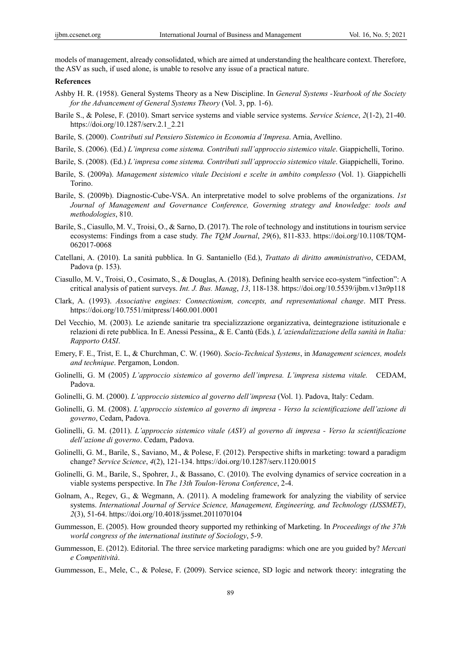models of management, already consolidated, which are aimed at understanding the healthcare context. Therefore, the ASV as such, if used alone, is unable to resolve any issue of a practical nature.

# **References**

- Ashby H. R. (1958). General Systems Theory as a New Discipline. In *General Systems -Yearbook of the Society for the Advancement of General Systems Theory* (Vol. 3, pp. 1-6).
- Barile S., & Polese, F. (2010). Smart service systems and viable service systems. *Service Science*, *2*(1-2), 21-40. https://doi.org/10.1287/serv.2.1\_2.21
- Barile, S. (2000). *Contributi sul Pensiero Sistemico in Economia d'Impresa*. Arnia, Avellino.
- Barile, S. (2006). (Ed.) *L'impresa come sistema. Contributi sull'approccio sistemico vitale*. Giappichelli, Torino.
- Barile, S. (2008). (Ed.) *L'impresa come sistema. Contributi sull'approccio sistemico vitale*. Giappichelli, Torino.
- Barile, S. (2009a). *Management sistemico vitale Decisioni e scelte in ambito complesso* (Vol. 1). Giappichelli Torino.
- Barile, S. (2009b). Diagnostic-Cube-VSA. An interpretative model to solve problems of the organizations. *1st Journal of Management and Governance Conference, Governing strategy and knowledge: tools and methodologies*, 810.
- Barile, S., Ciasullo, M. V., Troisi, O., & Sarno, D. (2017). The role of technology and institutions in tourism service ecosystems: Findings from a case study. *The TQM Journal*, *29*(6), 811-833. https://doi.org/10.1108/TQM-062017-0068
- Catellani, A. (2010). La sanità pubblica. In G. Santaniello (Ed.), *Trattato di diritto amministrativo*, CEDAM, Padova (p. 153).
- Ciasullo, M. V., Troisi, O., Cosimato, S., & Douglas, A. (2018). Defining health service eco-system "infection": A critical analysis of patient surveys. *Int. J. Bus. Manag*, *13*, 118-138. https://doi.org/10.5539/ijbm.v13n9p118
- Clark, A. (1993). *Associative engines: Connectionism, concepts, and representational change*. MIT Press. https://doi.org/10.7551/mitpress/1460.001.0001
- Del Vecchio, M. (2003). Le aziende sanitarie tra specializzazione organizzativa, deintegrazione istituzionale e relazioni di rete pubblica. In E. Anessi Pessina,, & E. Cantù (Eds.)*, L'aziendalizzazione della sanità in Italia: Rapporto OASI*.
- Emery, F. E., Trist, E. L, & Churchman, C. W. (1960). *Socio-Technical Systems*, in *Management sciences, models and technique*. Pergamon, London.
- Golinelli, G. M (2005) *L'approccio sistemico al governo dell'impresa. L'impresa sistema vitale.* CEDAM, Padova.
- Golinelli, G. M. (2000). *L'approccio sistemico al governo dell'impresa* (Vol. 1). Padova, Italy: Cedam.
- Golinelli, G. M. (2008). *L'approccio sistemico al governo di impresa Verso la scientificazione dell'azione di governo*, Cedam, Padova.
- Golinelli, G. M. (2011). *L'approccio sistemico vitale (ASV) al governo di impresa Verso la scientificazione dell'azione di governo*. Cedam, Padova.
- Golinelli, G. M., Barile, S., Saviano, M., & Polese, F. (2012). Perspective shifts in marketing: toward a paradigm change? *Service Science*, *4*(2), 121-134. https://doi.org/10.1287/serv.1120.0015
- Golinelli, G. M., Barile, S., Spohrer, J., & Bassano, C. (2010). The evolving dynamics of service cocreation in a viable systems perspective. In *The 13th Toulon-Verona Conference*, 2-4.
- Golnam, A., Regev, G., & Wegmann, A. (2011). A modeling framework for analyzing the viability of service systems. *International Journal of Service Science, Management, Engineering, and Technology (IJSSMET)*, *2*(3), 51-64. https://doi.org/10.4018/jssmet.2011070104
- Gummesson, E. (2005). How grounded theory supported my rethinking of Marketing. In *Proceedings of the 37th world congress of the international institute of Sociology*, 5-9.
- Gummesson, E. (2012). Editorial. The three service marketing paradigms: which one are you guided by? *Mercati e Competitività*.
- Gummesson, E., Mele, C., & Polese, F. (2009). Service science, SD logic and network theory: integrating the